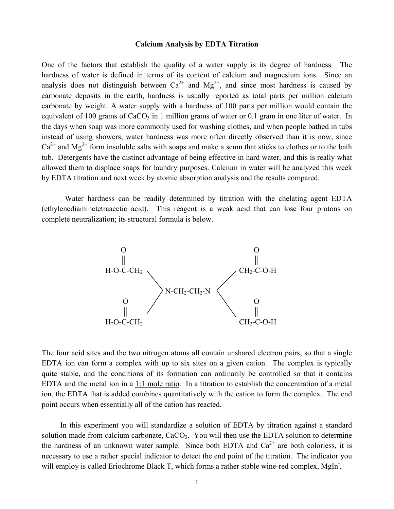#### **Calcium Analysis by EDTA Titration**

One of the factors that establish the quality of a water supply is its degree of hardness. The hardness of water is defined in terms of its content of calcium and magnesium ions. Since an analysis does not distinguish between  $Ca^{2+}$  and  $Mg^{2+}$ , and since most hardness is caused by carbonate deposits in the earth, hardness is usually reported as total parts per million calcium carbonate by weight. A water supply with a hardness of 100 parts per million would contain the equivalent of 100 grams of  $CaCO<sub>3</sub>$  in 1 million grams of water or 0.1 gram in one liter of water. In the days when soap was more commonly used for washing clothes, and when people bathed in tubs instead of using showers, water hardness was more often directly observed than it is now, since  $Ca^{2+}$  and Mg<sup>2+</sup> form insoluble salts with soaps and make a scum that sticks to clothes or to the bath tub. Detergents have the distinct advantage of being effective in hard water, and this is really what allowed them to displace soaps for laundry purposes. Calcium in water will be analyzed this week by EDTA titration and next week by atomic absorption analysis and the results compared.

Water hardness can be readily determined by titration with the chelating agent EDTA (ethylenediaminetetraacetic acid). This reagent is a weak acid that can lose four protons on complete neutralization; its structural formula is below.



The four acid sites and the two nitrogen atoms all contain unshared electron pairs, so that a single EDTA ion can form a complex with up to six sites on a given cation. The complex is typically quite stable, and the conditions of its formation can ordinarily be controlled so that it contains EDTA and the metal ion in a 1:1 mole ratio. In a titration to establish the concentration of a metal ion, the EDTA that is added combines quantitatively with the cation to form the complex. The end point occurs when essentially all of the cation has reacted.

In this experiment you will standardize a solution of EDTA by titration against a standard solution made from calcium carbonate,  $CaCO<sub>3</sub>$ . You will then use the EDTA solution to determine the hardness of an unknown water sample. Since both EDTA and  $Ca^{2+}$  are both colorless, it is necessary to use a rather special indicator to detect the end point of the titration. The indicator you will employ is called Eriochrome Black T, which forms a rather stable wine-red complex, MgIn,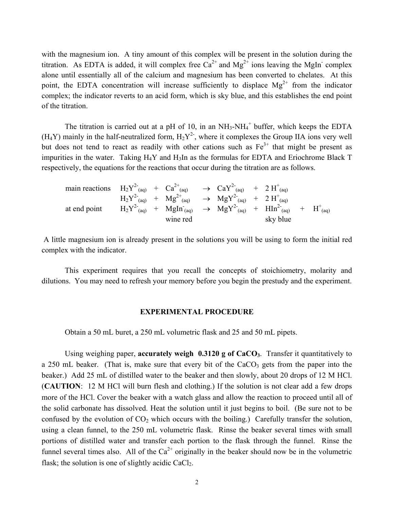with the magnesium ion. A tiny amount of this complex will be present in the solution during the titration. As EDTA is added, it will complex free  $Ca^{2+}$  and  $Mg^{2+}$  ions leaving the MgIn-complex alone until essentially all of the calcium and magnesium has been converted to chelates. At this point, the EDTA concentration will increase sufficiently to displace  $Mg^{2+}$  from the indicator complex; the indicator reverts to an acid form, which is sky blue, and this establishes the end point of the titration.

The titration is carried out at a pH of 10, in an  $NH_3-NH_4^+$  buffer, which keeps the EDTA  $(H_4Y)$  mainly in the half-neutralized form,  $H_2Y^2$ , where it complexes the Group IIA ions very well but does not tend to react as readily with other cations such as  $Fe<sup>3+</sup>$  that might be present as impurities in the water. Taking  $H_4Y$  and  $H_3I$ n as the formulas for EDTA and Eriochrome Black T respectively, the equations for the reactions that occur during the titration are as follows.

main reactions  $H_2 Y^2$  (aq) +  $Ca^{2+}$  (aq)  $\rightarrow$   $CaY^2$  (aq) +  $2H^{\dagger}$  (aq)  $\mathrm{H_2Y}^{2-}$ <sub>(aq)</sub> +  $\mathrm{Mg}^{2+}$ <sub>(aq)</sub> +  $\mathrm{MgY}^{2-}$ <sub>(aq)</sub> +  $2 \mathrm{H}^{+}$ <sub>(aq)</sub> at end point  $H_2 Y^2$  (aq) +  $MgIn_{(aq)} \rightarrow MgY^2$  (aq) +  $HIn_{(aq)}^2$  +  $H^+(aq)$ wine red sky blue

A little magnesium ion is already present in the solutions you will be using to form the initial red complex with the indicator.

This experiment requires that you recall the concepts of stoichiometry, molarity and dilutions. You may need to refresh your memory before you begin the prestudy and the experiment.

#### **EXPERIMENTAL PROCEDURE**

Obtain a 50 mL buret, a 250 mL volumetric flask and 25 and 50 mL pipets.

Using weighing paper, **accurately weigh 0.3120 g of CaCO**<sub>3</sub>. Transfer it quantitatively to a 250 mL beaker. (That is, make sure that every bit of the  $CaCO<sub>3</sub>$  gets from the paper into the beaker.) Add 25 mL of distilled water to the beaker and then slowly, about 20 drops of 12 M HCl. (**CAUTION**: 12 M HCl will burn flesh and clothing.) If the solution is not clear add a few drops more of the HCl. Cover the beaker with a watch glass and allow the reaction to proceed until all of the solid carbonate has dissolved. Heat the solution until it just begins to boil. (Be sure not to be confused by the evolution of  $CO<sub>2</sub>$  which occurs with the boiling.) Carefully transfer the solution, using a clean funnel, to the 250 mL volumetric flask. Rinse the beaker several times with small portions of distilled water and transfer each portion to the flask through the funnel. Rinse the funnel several times also. All of the  $Ca^{2+}$  originally in the beaker should now be in the volumetric flask; the solution is one of slightly acidic  $CaCl<sub>2</sub>$ .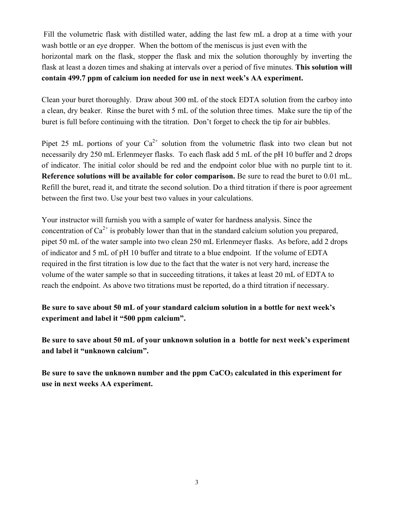Fill the volumetric flask with distilled water, adding the last few mL a drop at a time with your wash bottle or an eye dropper. When the bottom of the meniscus is just even with the horizontal mark on the flask, stopper the flask and mix the solution thoroughly by inverting the flask at least a dozen times and shaking at intervals over a period of five minutes. **This solution will contain 499.7 ppm of calcium ion needed for use in next week's AA experiment.**

Clean your buret thoroughly. Draw about 300 mL of the stock EDTA solution from the carboy into a clean, dry beaker. Rinse the buret with 5 mL of the solution three times. Make sure the tip of the buret is full before continuing with the titration. Don't forget to check the tip for air bubbles.

Pipet 25 mL portions of your  $Ca^{2+}$  solution from the volumetric flask into two clean but not necessarily dry 250 mL Erlenmeyer flasks. To each flask add 5 mL of the pH 10 buffer and 2 drops of indicator. The initial color should be red and the endpoint color blue with no purple tint to it. **Reference solutions will be available for color comparison.** Be sure to read the buret to 0.01 mL. Refill the buret, read it, and titrate the second solution. Do a third titration if there is poor agreement between the first two. Use your best two values in your calculations.

Your instructor will furnish you with a sample of water for hardness analysis. Since the concentration of  $Ca^{2+}$  is probably lower than that in the standard calcium solution you prepared, pipet 50 mL of the water sample into two clean 250 mL Erlenmeyer flasks. As before, add 2 drops of indicator and 5 mL of pH 10 buffer and titrate to a blue endpoint. If the volume of EDTA required in the first titration is low due to the fact that the water is not very hard, increase the volume of the water sample so that in succeeding titrations, it takes at least 20 mL of EDTA to reach the endpoint. As above two titrations must be reported, do a third titration if necessary.

**Be sure to save about 50 mL of your standard calcium solution in a bottle for next week's experiment and label it "500 ppm calcium".** 

**Be sure to save about 50 mL of your unknown solution in a bottle for next week's experiment and label it "unknown calcium".** 

Be sure to save the unknown number and the ppm CaCO<sub>3</sub> calculated in this experiment for **use in next weeks AA experiment.**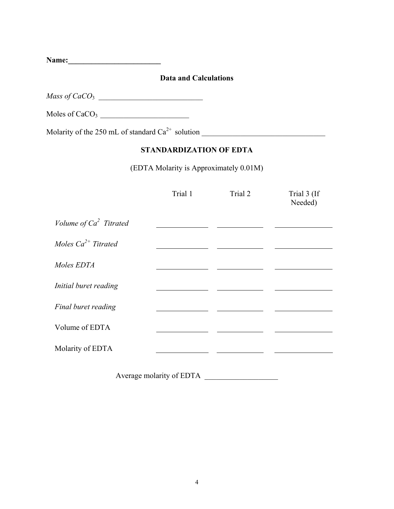**Name:\_\_\_\_\_\_\_\_\_\_\_\_\_\_\_\_\_\_\_\_\_\_\_\_** 

## **Data and Calculations**

*Mass of CaCO*<sub>3</sub>

Moles of CaCO<sub>3</sub>

Molarity of the 250 mL of standard Ca2+ solution \_\_\_\_\_\_\_\_\_\_\_\_\_\_\_\_\_\_\_\_\_\_\_\_\_\_\_\_\_\_\_\_

# **STANDARDIZATION OF EDTA**

(EDTA Molarity is Approximately 0.01M)

|                           | Trial 1 | Trial 2 | Trial 3 (If<br>Needed) |
|---------------------------|---------|---------|------------------------|
| Volume of $Ca^2$ Titrated |         |         |                        |
| Moles $Ca^{2+}$ Titrated  |         |         |                        |
| Moles EDTA                |         |         |                        |
| Initial buret reading     |         |         |                        |
| Final buret reading       |         |         |                        |
| Volume of EDTA            |         |         |                        |
| Molarity of EDTA          |         |         |                        |
|                           |         |         |                        |

Average molarity of EDTA \_\_\_\_\_\_\_\_\_\_\_\_\_\_\_\_\_\_\_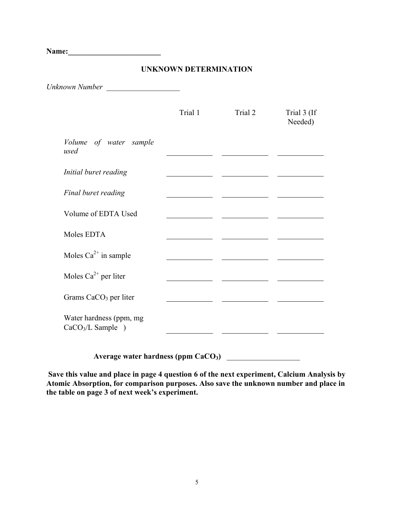**Name:\_\_\_\_\_\_\_\_\_\_\_\_\_\_\_\_\_\_\_\_\_\_\_\_** 

### **UNKNOWN DETERMINATION**

*Unknown Number* \_\_\_\_\_\_\_\_\_\_\_\_\_\_\_\_\_\_\_

|                                               | Trial 1 | Trial 2 | Trial 3 (If<br>Needed) |
|-----------------------------------------------|---------|---------|------------------------|
| Volume of water sample<br>used                |         |         |                        |
| Initial buret reading                         |         |         |                        |
| Final buret reading                           |         |         |                        |
| Volume of EDTA Used                           |         |         |                        |
| Moles EDTA                                    |         |         |                        |
| Moles $Ca^{2+}$ in sample                     |         |         |                        |
| Moles $Ca^{2+}$ per liter                     |         |         |                        |
| Grams CaCO <sub>3</sub> per liter             |         |         |                        |
| Water hardness (ppm, mg<br>$CaCO3/L$ Sample ) |         |         |                        |

Average water hardness (ppm CaCO<sub>3</sub>)

 **Save this value and place in page 4 question 6 of the next experiment, Calcium Analysis by Atomic Absorption, for comparison purposes. Also save the unknown number and place in the table on page 3 of next week's experiment.**